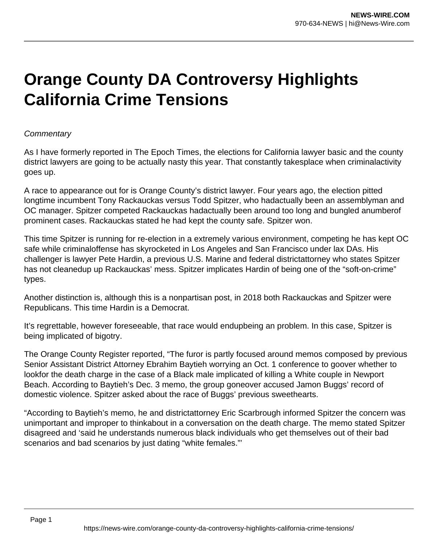## **Orange County DA Controversy Highlights California Crime Tensions**

## **Commentary**

As I have formerly reported in The Epoch Times, the elections for California lawyer basic and the county district lawyers are going to be actually nasty this year. That constantly takesplace when criminalactivity goes up.

A race to appearance out for is Orange County's district lawyer. Four years ago, the election pitted longtime incumbent Tony Rackauckas versus Todd Spitzer, who hadactually been an assemblyman and OC manager. Spitzer competed Rackauckas hadactually been around too long and bungled anumberof prominent cases. Rackauckas stated he had kept the county safe. Spitzer won.

This time Spitzer is running for re-election in a extremely various environment, competing he has kept OC safe while criminaloffense has skyrocketed in Los Angeles and San Francisco under lax DAs. His challenger is lawyer Pete Hardin, a previous U.S. Marine and federal districtattorney who states Spitzer has not cleanedup up Rackauckas' mess. Spitzer implicates Hardin of being one of the "soft-on-crime" types.

Another distinction is, although this is a nonpartisan post, in 2018 both Rackauckas and Spitzer were Republicans. This time Hardin is a Democrat.

It's regrettable, however foreseeable, that race would endupbeing an problem. In this case, Spitzer is being implicated of bigotry.

The Orange County Register reported, "The furor is partly focused around memos composed by previous Senior Assistant District Attorney Ebrahim Baytieh worrying an Oct. 1 conference to goover whether to lookfor the death charge in the case of a Black male implicated of killing a White couple in Newport Beach. According to Baytieh's Dec. 3 memo, the group goneover accused Jamon Buggs' record of domestic violence. Spitzer asked about the race of Buggs' previous sweethearts.

"According to Baytieh's memo, he and districtattorney Eric Scarbrough informed Spitzer the concern was unimportant and improper to thinkabout in a conversation on the death charge. The memo stated Spitzer disagreed and 'said he understands numerous black individuals who get themselves out of their bad scenarios and bad scenarios by just dating "white females."'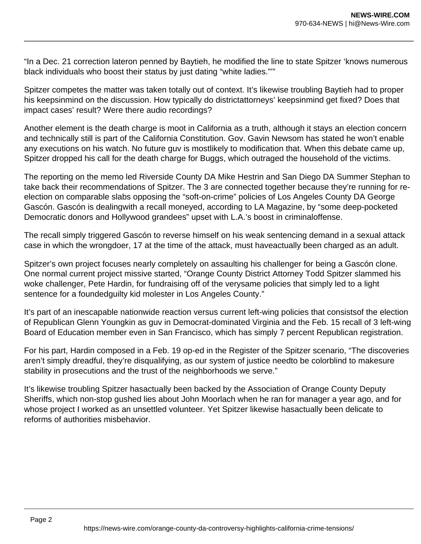"In a Dec. 21 correction lateron penned by Baytieh, he modified the line to state Spitzer 'knows numerous black individuals who boost their status by just dating "white ladies."'"

Spitzer competes the matter was taken totally out of context. It's likewise troubling Baytieh had to proper his keepsinmind on the discussion. How typically do districtattorneys' keepsinmind get fixed? Does that impact cases' result? Were there audio recordings?

Another element is the death charge is moot in California as a truth, although it stays an election concern and technically still is part of the California Constitution. Gov. Gavin Newsom has stated he won't enable any executions on his watch. No future guv is mostlikely to modification that. When this debate came up, Spitzer dropped his call for the death charge for Buggs, which outraged the household of the victims.

The reporting on the memo led Riverside County DA Mike Hestrin and San Diego DA Summer Stephan to take back their recommendations of Spitzer. The 3 are connected together because they're running for reelection on comparable slabs opposing the "soft-on-crime" policies of Los Angeles County DA George Gascón. Gascón is dealingwith a recall moneyed, according to LA Magazine, by "some deep-pocketed Democratic donors and Hollywood grandees" upset with L.A.'s boost in criminaloffense.

The recall simply triggered Gascón to reverse himself on his weak sentencing demand in a sexual attack case in which the wrongdoer, 17 at the time of the attack, must haveactually been charged as an adult.

Spitzer's own project focuses nearly completely on assaulting his challenger for being a Gascón clone. One normal current project missive started, "Orange County District Attorney Todd Spitzer slammed his woke challenger, Pete Hardin, for fundraising off of the verysame policies that simply led to a light sentence for a foundedguilty kid molester in Los Angeles County."

It's part of an inescapable nationwide reaction versus current left-wing policies that consistsof the election of Republican Glenn Youngkin as guv in Democrat-dominated Virginia and the Feb. 15 recall of 3 left-wing Board of Education member even in San Francisco, which has simply 7 percent Republican registration.

For his part, Hardin composed in a Feb. 19 op-ed in the Register of the Spitzer scenario, "The discoveries aren't simply dreadful, they're disqualifying, as our system of justice needto be colorblind to makesure stability in prosecutions and the trust of the neighborhoods we serve."

It's likewise troubling Spitzer hasactually been backed by the Association of Orange County Deputy Sheriffs, which non-stop gushed lies about John Moorlach when he ran for manager a year ago, and for whose project I worked as an unsettled volunteer. Yet Spitzer likewise hasactually been delicate to reforms of authorities misbehavior.